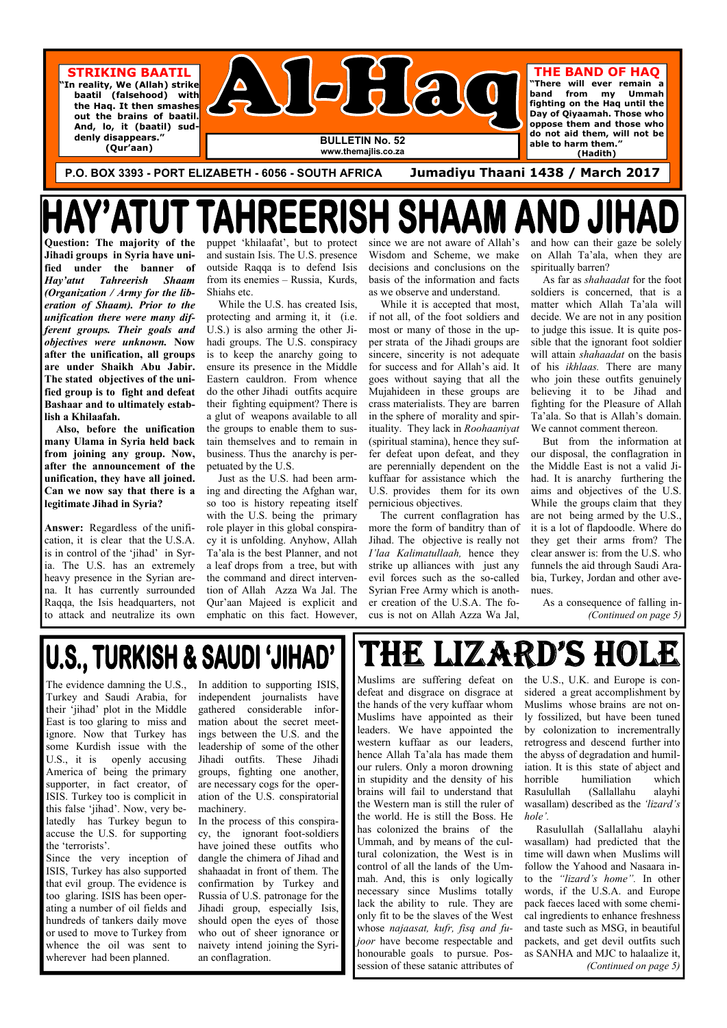**Question: The majority of the Jihadi groups in Syria have unified under the banner of**  *Hay'atut Tahreerish Shaam (Organization / Army for the liberation of Shaam). Prior to the unification there were many different groups. Their goals and objectives were unknown.* **Now after the unification, all groups are under Shaikh Abu Jabir. The stated objectives of the unified group is to fight and defeat Bashaar and to ultimately establish a Khilaafah.** 

 **Also, before the unification many Ulama in Syria held back from joining any group. Now, after the announcement of the unification, they have all joined. Can we now say that there is a legitimate Jihad in Syria?** 

**Answer:** Regardless of the unification, it is clear that the U.S.A. is in control of the 'jihad' in Syria. The U.S. has an extremely heavy presence in the Syrian arena. It has currently surrounded Raqqa, the Isis headquarters, not to attack and neutralize its own puppet 'khilaafat', but to protect and sustain Isis. The U.S. presence outside Raqqa is to defend Isis from its enemies – Russia, Kurds, Shiahs etc.

 While the U.S. has created Isis, protecting and arming it, it (i.e. U.S.) is also arming the other Jihadi groups. The U.S. conspiracy is to keep the anarchy going to ensure its presence in the Middle Eastern cauldron. From whence do the other Jihadi outfits acquire their fighting equipment? There is a glut of weapons available to all the groups to enable them to sustain themselves and to remain in business. Thus the anarchy is perpetuated by the U.S.

 Just as the U.S. had been arming and directing the Afghan war, so too is history repeating itself with the U.S. being the primary role player in this global conspiracy it is unfolding. Anyhow, Allah Ta'ala is the best Planner, and not a leaf drops from a tree, but with the command and direct intervention of Allah Azza Wa Jal. The Qur'aan Majeed is explicit and emphatic on this fact. However,

since we are not aware of Allah's Wisdom and Scheme, we make decisions and conclusions on the basis of the information and facts as we observe and understand.



 While it is accepted that most, if not all, of the foot soldiers and most or many of those in the upper strata of the Jihadi groups are sincere, sincerity is not adequate for success and for Allah's aid. It goes without saying that all the Mujahideen in these groups are crass materialists. They are barren in the sphere of morality and spirituality. They lack in *Roohaaniyat* (spiritual stamina), hence they suffer defeat upon defeat, and they are perennially dependent on the kuffaar for assistance which the U.S. provides them for its own pernicious objectives.

 The current conflagration has more the form of banditry than of Jihad. The objective is really not *I'laa Kalimatullaah,* hence they strike up alliances with just any evil forces such as the so-called Syrian Free Army which is another creation of the U.S.A. The focus is not on Allah Azza Wa Jal,

and how can their gaze be solely on Allah Ta'ala, when they are spiritually barren?

 As far as *shahaadat* for the foot soldiers is concerned, that is a matter which Allah Ta'ala will decide. We are not in any position to judge this issue. It is quite possible that the ignorant foot soldier will attain *shahaadat* on the basis of his *ikhlaas.* There are many who join these outfits genuinely believing it to be Jihad and fighting for the Pleasure of Allah Ta'ala. So that is Allah's domain. We cannot comment thereon.

 But from the information at our disposal, the conflagration in the Middle East is not a valid Jihad. It is anarchy furthering the aims and objectives of the U.S. While the groups claim that they are not being armed by the U.S., it is a lot of flapdoodle. Where do they get their arms from? The clear answer is: from the U.S. who funnels the aid through Saudi Arabia, Turkey, Jordan and other avenues.

 As a consequence of falling in- *(Continued on page 5)* 

## **U.S., TURKISH & SAUDI 'JIHAD'**

**P.O. BOX 3393 - PORT ELIZABETH - 6056 - SOUTH AFRICA Jumadiyu Thaani 1438 / March 2017** 

The evidence damning the U.S., Turkey and Saudi Arabia, for their 'jihad' plot in the Middle East is too glaring to miss and ignore. Now that Turkey has some Kurdish issue with the U.S., it is openly accusing America of being the primary supporter, in fact creator, of ISIS. Turkey too is complicit in this false 'jihad'. Now, very belatedly has Turkey begun to accuse the U.S. for supporting the 'terrorists'. Since the very inception of ISIS, Turkey has also supported that evil group. The evidence is too glaring. ISIS has been operating a number of oil fields and

hundreds of tankers daily move or used to move to Turkey from whence the oil was sent to wherever had been planned.

In addition to supporting ISIS, independent journalists have gathered considerable information about the secret meetings between the U.S. and the leadership of some of the other Jihadi outfits. These Jihadi groups, fighting one another, are necessary cogs for the operation of the U.S. conspiratorial machinery. In the process of this conspiracy, the ignorant foot-soldiers have joined these outfits who dangle the chimera of Jihad and shahaadat in front of them. The confirmation by Turkey and Russia of U.S. patronage for the Jihadi group, especially Isis, should open the eyes of those who out of sheer ignorance or naivety intend joining the Syrian conflagration.

### IZARD'S HOLE HE

Muslims are suffering defeat on defeat and disgrace on disgrace at the hands of the very kuffaar whom Muslims have appointed as their leaders. We have appointed the western kuffaar as our leaders, hence Allah Ta'ala has made them our rulers. Only a moron drowning in stupidity and the density of his brains will fail to understand that the Western man is still the ruler of the world. He is still the Boss. He has colonized the brains of the Ummah, and by means of the cultural colonization, the West is in control of all the lands of the Ummah. And, this is only logically necessary since Muslims totally lack the ability to rule. They are only fit to be the slaves of the West whose *najaasat, kufr, fisq and fujoor* have become respectable and honourable goals to pursue. Possession of these satanic attributes of

the U.S., U.K. and Europe is considered a great accomplishment by Muslims whose brains are not only fossilized, but have been tuned by colonization to incrementrally retrogress and descend further into the abyss of degradation and humiliation. It is this state of abject and horrible humiliation which Rasulullah (Sallallahu alayhi wasallam) described as the *'lizard's hole'.* Rasulullah (Sallallahu alayhi wasallam) had predicted that the time will dawn when Muslims will follow the Yahood and Nasaara into the *"lizard's home".* In other words, if the U.S.A. and Europe pack faeces laced with some chemical ingredients to enhance freshness and taste such as MSG, in beautiful packets, and get devil outfits such as SANHA and MJC to halaalize it, *(Continued on page 5)*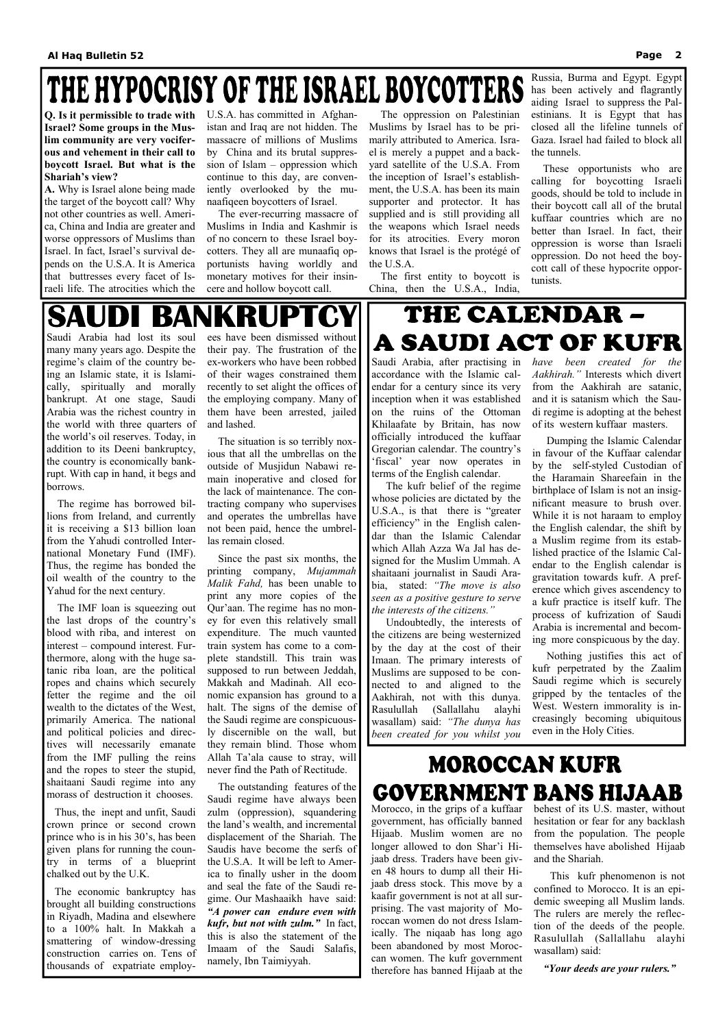## THE HYPOCRISY OF THE ISRAEL BOYCOTTERS

**Q. Is it permissible to trade with Israel? Some groups in the Muslim community are very vociferous and vehement in their call to boycott Israel. But what is the Shariah's view?** 

**A.** Why is Israel alone being made the target of the boycott call? Why not other countries as well. America, China and India are greater and worse oppressors of Muslims than Israel. In fact, Israel's survival depends on the U.S.A. It is America that buttresses every facet of Israeli life. The atrocities which the

U.S.A. has committed in Afghanistan and Iraq are not hidden. The massacre of millions of Muslims by China and its brutal suppression of Islam – oppression which continue to this day, are conveniently overlooked by the munaafiqeen boycotters of Israel.

 The ever-recurring massacre of Muslims in India and Kashmir is of no concern to these Israel boycotters. They all are munaafiq opportunists having worldly and monetary motives for their insincere and hollow boycott call.

 The oppression on Palestinian Muslims by Israel has to be primarily attributed to America. Israel is merely a puppet and a backyard satellite of the U.S.A. From the inception of Israel's establishment, the U.S.A. has been its main supporter and protector. It has supplied and is still providing all the weapons which Israel needs for its atrocities. Every moron knows that Israel is the protégé of the U.S.A.

 The first entity to boycott is China, then the U.S.A., India,

Russia, Burma and Egypt. Egypt has been actively and flagrantly aiding Israel to suppress the Palestinians. It is Egypt that has closed all the lifeline tunnels of Gaza. Israel had failed to block all the tunnels.

 These opportunists who are calling for boycotting Israeli goods, should be told to include in their boycott call all of the brutal kuffaar countries which are no better than Israel. In fact, their oppression is worse than Israeli oppression. Do not heed the boycott call of these hypocrite opportunists.

#### **SAUDI** KRUPTCY BA Saudi Arabia had lost its soul

Saudi Arabia, after practising in accordance with the Islamic calendar for a century since its very inception when it was established on the ruins of the Ottoman Khilaafate by Britain, has now officially introduced the kuffaar Gregorian calendar. The country's 'fiscal' year now operates in terms of the English calendar.

 The kufr belief of the regime whose policies are dictated by the U.S.A., is that there is "greater efficiency" in the English calendar than the Islamic Calendar which Allah Azza Wa Jal has designed for the Muslim Ummah. A shaitaani journalist in Saudi Arabia, stated: *"The move is also seen as a positive gesture to serve the interests of the citizens."* 

 Undoubtedly, the interests of the citizens are being westernized by the day at the cost of their Imaan. The primary interests of Muslims are supposed to be connected to and aligned to the Aakhirah, not with this dunya. Rasulullah (Sallallahu alayhi wasallam) said: *"The dunya has been created for you whilst you* 

*have been created for the Aakhirah."* Interests which divert from the Aakhirah are satanic, and it is satanism which the Saudi regime is adopting at the behest of its western kuffaar masters.

 Dumping the Islamic Calendar in favour of the Kuffaar calendar by the self-styled Custodian of the Haramain Shareefain in the birthplace of Islam is not an insignificant measure to brush over. While it is not haraam to employ the English calendar, the shift by a Muslim regime from its established practice of the Islamic Calendar to the English calendar is gravitation towards kufr. A preference which gives ascendency to a kufr practice is itself kufr. The process of kufrization of Saudi Arabia is incremental and becoming more conspicuous by the day.

 Nothing justifies this act of kufr perpetrated by the Zaalim Saudi regime which is securely gripped by the tentacles of the West. Western immorality is increasingly becoming ubiquitous even in the Holy Cities.

## **MOROCCAN KUFR**

many many years ago. Despite the regime's claim of the country being an Islamic state, it is Islamically, spiritually and morally bankrupt. At one stage, Saudi Arabia was the richest country in the world with three quarters of the world's oil reserves. Today, in addition to its Deeni bankruptcy, the country is economically bankrupt. With cap in hand, it begs and borrows.

 The regime has borrowed billions from Ireland, and currently it is receiving a \$13 billion loan from the Yahudi controlled International Monetary Fund (IMF). Thus, the regime has bonded the oil wealth of the country to the Yahud for the next century.

 The IMF loan is squeezing out the last drops of the country's blood with riba, and interest on interest – compound interest. Furthermore, along with the huge satanic riba loan, are the political ropes and chains which securely fetter the regime and the oil wealth to the dictates of the West, primarily America. The national and political policies and directives will necessarily emanate from the IMF pulling the reins and the ropes to steer the stupid,

shaitaani Saudi regime into any morass of destruction it chooses.

 Thus, the inept and unfit, Saudi crown prince or second crown prince who is in his 30's, has been given plans for running the country in terms of a blueprint chalked out by the U.K.

 The economic bankruptcy has brought all building constructions in Riyadh, Madina and elsewhere to a 100% halt. In Makkah a smattering of window-dressing construction carries on. Tens of thousands of expatriate employ-

## **GOVERNMENT BANS HIJAAB**

ees have been dismissed without their pay. The frustration of the ex-workers who have been robbed of their wages constrained them recently to set alight the offices of the employing company. Many of them have been arrested, jailed and lashed.

 The situation is so terribly noxious that all the umbrellas on the outside of Musjidun Nabawi remain inoperative and closed for the lack of maintenance. The contracting company who supervises and operates the umbrellas have not been paid, hence the umbrellas remain closed.

 Since the past six months, the printing company, *Mujammah Malik Fahd,* has been unable to print any more copies of the Qur'aan. The regime has no money for even this relatively small expenditure. The much vaunted train system has come to a complete standstill. This train was supposed to run between Jeddah, Makkah and Madinah. All economic expansion has ground to a halt. The signs of the demise of the Saudi regime are conspicuously discernible on the wall, but they remain blind. Those whom Allah Ta'ala cause to stray, will never find the Path of Rectitude. The outstanding features of the Saudi regime have always been zulm (oppression), squandering the land's wealth, and incremental displacement of the Shariah. The Saudis have become the serfs of the U.S.A. It will be left to America to finally usher in the doom and seal the fate of the Saudi regime. Our Mashaaikh have said: *"A power can endure even with kufr, but not with zulm."* In fact, this is also the statement of the Imaam of the Saudi Salafis, namely, Ibn Taimiyyah.

## THE CALENDAR -A SAUDI ACT OF KUFR

Morocco, in the grips of a kuffaar government, has officially banned Hijaab. Muslim women are no longer allowed to don Shar'i Hijaab dress. Traders have been given 48 hours to dump all their Hijaab dress stock. This move by a kaafir government is not at all surprising. The vast majority of Moroccan women do not dress Islamically. The niqaab has long ago been abandoned by most Moroccan women. The kufr government therefore has banned Hijaab at the

behest of its U.S. master, without hesitation or fear for any backlash from the population. The people themselves have abolished Hijaab and the Shariah.

 This kufr phenomenon is not confined to Morocco. It is an epidemic sweeping all Muslim lands. The rulers are merely the reflection of the deeds of the people. Rasulullah (Sallallahu alayhi wasallam) said:

*"Your deeds are your rulers."*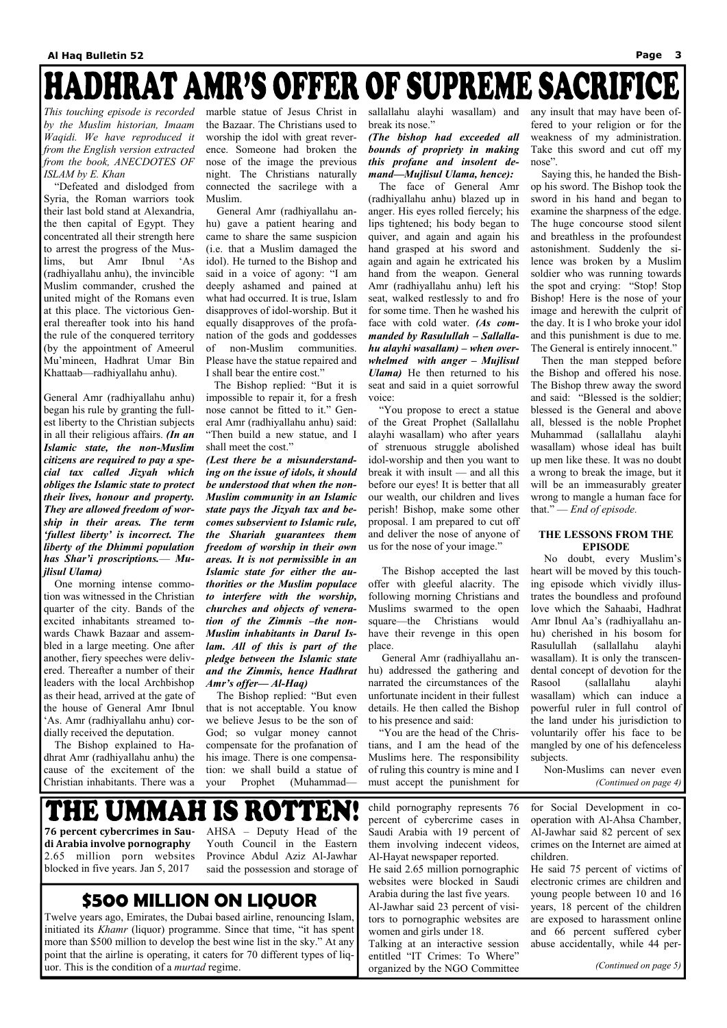# **HADHRAT AMR'S OFFER OF SUPREME SACRIFICE**

*This touching episode is recorded by the Muslim historian, Imaam Waqidi. We have reproduced it from the English version extracted from the book, ANECDOTES OF ISLAM by E. Khan* 

 "Defeated and dislodged from Syria, the Roman warriors took their last bold stand at Alexandria, the then capital of Egypt. They concentrated all their strength here to arrest the progress of the Muslims, but Amr Ibnul 'As (radhiyallahu anhu), the invincible Muslim commander, crushed the united might of the Romans even at this place. The victorious General thereafter took into his hand the rule of the conquered territory (by the appointment of Ameerul Mu'mineen, Hadhrat Umar Bin Khattaab—radhiyallahu anhu).

General Amr (radhiyallahu anhu) began his rule by granting the fullest liberty to the Christian subjects in all their religious affairs. *(In an Islamic state, the non-Muslim citizens are required to pay a special tax called Jizyah which obliges the Islamic state to protect their lives, honour and property. They are allowed freedom of worship in their areas. The term 'fullest liberty' is incorrect. The liberty of the Dhimmi population has Shar'i proscriptions.*— *Mujlisul Ulama)*

 One morning intense commotion was witnessed in the Christian quarter of the city. Bands of the excited inhabitants streamed towards Chawk Bazaar and assembled in a large meeting. One after another, fiery speeches were delivered. Thereafter a number of their leaders with the local Archbishop as their head, arrived at the gate of the house of General Amr Ibnul 'As. Amr (radhiyallahu anhu) cordially received the deputation.

 The Bishop explained to Hadhrat Amr (radhiyallahu anhu) the cause of the excitement of the marble statue of Jesus Christ in the Bazaar. The Christians used to worship the idol with great reverence. Someone had broken the nose of the image the previous night. The Christians naturally connected the sacrilege with a Muslim.

 General Amr (radhiyallahu anhu) gave a patient hearing and came to share the same suspicion (i.e. that a Muslim damaged the idol). He turned to the Bishop and said in a voice of agony: "I am deeply ashamed and pained at what had occurred. It is true, Islam disapproves of idol-worship. But it equally disapproves of the profanation of the gods and goddesses of non-Muslim communities. Please have the statue repaired and I shall bear the entire cost."

 The Bishop replied: "But it is impossible to repair it, for a fresh nose cannot be fitted to it." General Amr (radhiyallahu anhu) said: "Then build a new statue, and I shall meet the cost."

*(Lest there be a misunderstanding on the issue of idols, it should be understood that when the non-Muslim community in an Islamic state pays the Jizyah tax and becomes subservient to Islamic rule, the Shariah guarantees them freedom of worship in their own areas. It is not permissible in an Islamic state for either the authorities or the Muslim populace to interfere with the worship, churches and objects of veneration of the Zimmis –the non-Muslim inhabitants in Darul Islam. All of this is part of the pledge between the Islamic state and the Zimmis, hence Hadhrat Amr's offer— Al-Haq)* 

 The Bishop replied: "But even that is not acceptable. You know we believe Jesus to be the son of God; so vulgar money cannot compensate for the profanation of his image. There is one compensation: we shall build a statue of

Christian inhabitants. There was a your Prophet (Muhammad must accept the punishment for

**76 percent cybercrimes in Sau**di Arabia involve pornography 2.65 million porn websites blocked in five years. Jan 5, 2017

sallallahu alayhi wasallam) and break its nose."

*(The bishop had exceeded all bounds of propriety in making this profane and insolent demand—Mujlisul Ulama, hence):* 

 The face of General Amr (radhiyallahu anhu) blazed up in anger. His eyes rolled fiercely; his lips tightened; his body began to quiver, and again and again his hand grasped at his sword and again and again he extricated his hand from the weapon. General Amr (radhiyallahu anhu) left his seat, walked restlessly to and fro for some time. Then he washed his face with cold water. *(As commanded by Rasulullah – Sallallahu alayhi wasallam) – when overwhelmed with anger – Mujlisul Ulama)* He then returned to his seat and said in a quiet sorrowful voice:

 "You propose to erect a statue of the Great Prophet (Sallallahu alayhi wasallam) who after years of strenuous struggle abolished idol-worship and then you want to break it with insult — and all this before our eyes! It is better that all our wealth, our children and lives perish! Bishop, make some other proposal. I am prepared to cut off and deliver the nose of anyone of us for the nose of your image."

 The Bishop accepted the last offer with gleeful alacrity. The following morning Christians and Muslims swarmed to the open square—the Christians would have their revenge in this open place.

 General Amr (radhiyallahu anhu) addressed the gathering and narrated the circumstances of the unfortunate incident in their fullest details. He then called the Bishop to his presence and said:

 "You are the head of the Christians, and I am the head of the Muslims here. The responsibility of ruling this country is mine and I

any insult that may have been offered to your religion or for the weakness of my administration. Take this sword and cut off my nose".

 Saying this, he handed the Bishop his sword. The Bishop took the sword in his hand and began to examine the sharpness of the edge. The huge concourse stood silent and breathless in the profoundest astonishment. Suddenly the silence was broken by a Muslim soldier who was running towards the spot and crying: "Stop! Stop Bishop! Here is the nose of your image and herewith the culprit of the day. It is I who broke your idol and this punishment is due to me. The General is entirely innocent."

 Then the man stepped before the Bishop and offered his nose. The Bishop threw away the sword and said: "Blessed is the soldier; blessed is the General and above all, blessed is the noble Prophet Muhammad (sallallahu alayhi wasallam) whose ideal has built up men like these. It was no doubt a wrong to break the image, but it will be an immeasurably greater wrong to mangle a human face for that." — *End of episode.*

#### **THE LESSONS FROM THE EPISODE**

 No doubt, every Muslim's heart will be moved by this touching episode which vividly illustrates the boundless and profound love which the Sahaabi, Hadhrat Amr Ibnul Aa's (radhiyallahu anhu) cherished in his bosom for Rasulullah (sallallahu alayhi wasallam). It is only the transcendental concept of devotion for the Rasool (sallallahu alayhi wasallam) which can induce a powerful ruler in full control of the land under his jurisdiction to voluntarily offer his face to be mangled by one of his defenceless subjects.

Non-Muslims can never even

*(Continued on page 4)* 

#### THE UMMA R

AHSA – Deputy Head of the Youth Council in the Eastern Province Abdul Aziz Al-Jawhar said the possession and storage of

child pornography represents 76 percent of cybercrime cases in Saudi Arabia with 19 percent of them involving indecent videos, Al-Hayat newspaper reported. He said 2.65 million pornographic websites were blocked in Saudi Arabia during the last five years. Al-Jawhar said 23 percent of visitors to pornographic websites are women and girls under 18. Talking at an interactive session entitled "IT Crimes: To Where" organized by the NGO Committee

for Social Development in cooperation with Al-Ahsa Chamber, Al-Jawhar said 82 percent of sex crimes on the Internet are aimed at children.

He said 75 percent of victims of electronic crimes are children and young people between 10 and 16 years, 18 percent of the children are exposed to harassment online and 66 percent suffered cyber abuse accidentally, while 44 per-

*(Continued on page 5)* 

### **\$500 MILLION ON LIQUOR**

Twelve years ago, Emirates, the Dubai based airline, renouncing Islam, initiated its *Khamr* (liquor) programme. Since that time, "it has spent more than \$500 million to develop the best wine list in the sky." At any point that the airline is operating, it caters for 70 different types of liquor. This is the condition of a *murtad* regime.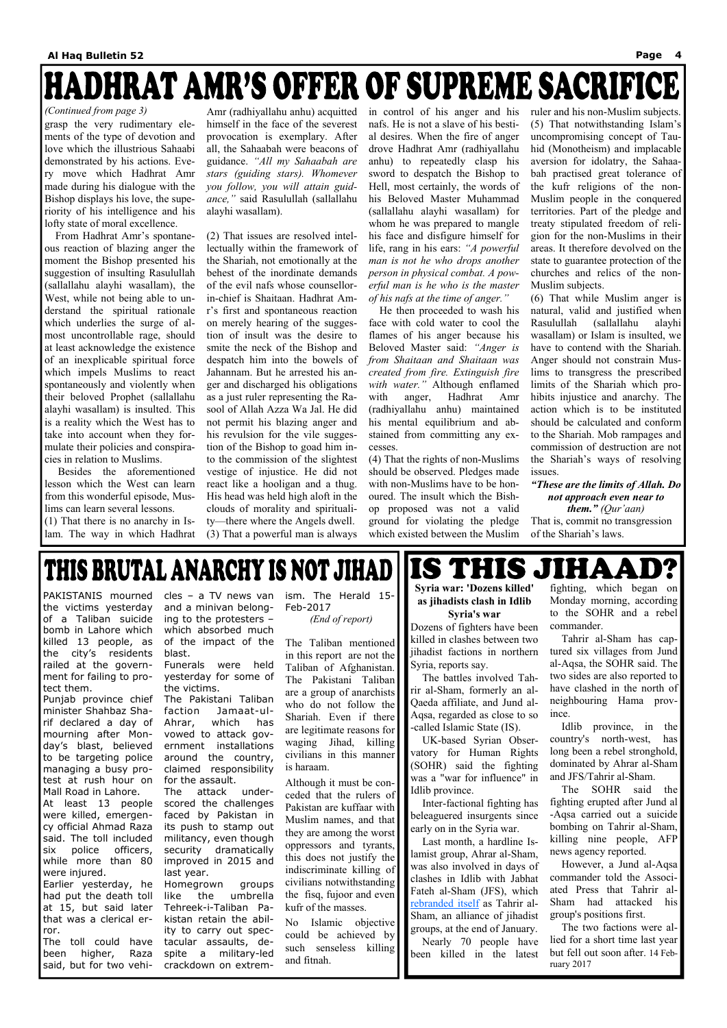# HADHRAT AMR'S OFFER OF SUPREME SACRIFICE

grasp the very rudimentary elements of the type of devotion and love which the illustrious Sahaabi demonstrated by his actions. Every move which Hadhrat Amr made during his dialogue with the Bishop displays his love, the superiority of his intelligence and his lofty state of moral excellence.

 From Hadhrat Amr's spontaneous reaction of blazing anger the moment the Bishop presented his suggestion of insulting Rasulullah (sallallahu alayhi wasallam), the West, while not being able to understand the spiritual rationale which underlies the surge of almost uncontrollable rage, should at least acknowledge the existence of an inexplicable spiritual force which impels Muslims to react spontaneously and violently when their beloved Prophet (sallallahu alayhi wasallam) is insulted. This is a reality which the West has to take into account when they formulate their policies and conspiracies in relation to Muslims.

Besides the aforementioned lesson which the West can learn from this wonderful episode, Muslims can learn several lessons. (1) That there is no anarchy in Islam. The way in which Hadhrat Amr (radhiyallahu anhu) acquitted himself in the face of the severest provocation is exemplary. After all, the Sahaabah were beacons of guidance. *"All my Sahaabah are stars (guiding stars). Whomever you follow, you will attain guidance,"* said Rasulullah (sallallahu alayhi wasallam).

(2) That issues are resolved intellectually within the framework of the Shariah, not emotionally at the behest of the inordinate demands of the evil nafs whose counsellorin-chief is Shaitaan. Hadhrat Amr's first and spontaneous reaction on merely hearing of the suggestion of insult was the desire to smite the neck of the Bishop and despatch him into the bowels of Jahannam. But he arrested his anger and discharged his obligations as a just ruler representing the Rasool of Allah Azza Wa Jal. He did not permit his blazing anger and his revulsion for the vile suggestion of the Bishop to goad him into the commission of the slightest vestige of injustice. He did not react like a hooligan and a thug. His head was held high aloft in the clouds of morality and spirituality—there where the Angels dwell. (3) That a powerful man is always

in control of his anger and his nafs. He is not a slave of his bestial desires. When the fire of anger drove Hadhrat Amr (radhiyallahu anhu) to repeatedly clasp his sword to despatch the Bishop to Hell, most certainly, the words of his Beloved Master Muhammad (sallallahu alayhi wasallam) for whom he was prepared to mangle his face and disfigure himself for life, rang in his ears: *"A powerful man is not he who drops another person in physical combat. A powerful man is he who is the master of his nafs at the time of anger."* 

 He then proceeded to wash his face with cold water to cool the flames of his anger because his Beloved Master said: *"Anger is from Shaitaan and Shaitaan was created from fire. Extinguish fire with water."* Although enflamed with anger, Hadhrat Amr (radhiyallahu anhu) maintained his mental equilibrium and abstained from committing any excesses.

(4) That the rights of non-Muslims should be observed. Pledges made with non-Muslims have to be honoured. The insult which the Bishop proposed was not a valid ground for violating the pledge which existed between the Muslim

ruler and his non-Muslim subjects. (5) That notwithstanding Islam's uncompromising concept of Tauhid (Monotheism) and implacable aversion for idolatry, the Sahaabah practised great tolerance of the kufr religions of the non-Muslim people in the conquered territories. Part of the pledge and treaty stipulated freedom of religion for the non-Muslims in their areas. It therefore devolved on the state to guarantee protection of the churches and relics of the non-Muslim subjects.

(6) That while Muslim anger is natural, valid and justified when Rasulullah (sallallahu alayhi wasallam) or Islam is insulted, we have to contend with the Shariah. Anger should not constrain Muslims to transgress the prescribed limits of the Shariah which prohibits injustice and anarchy. The action which is to be instituted should be calculated and conform to the Shariah. Mob rampages and commission of destruction are not the Shariah's ways of resolving issues.

*"These are the limits of Allah. Do not approach even near to them." (Qur'aan)* 

That is, commit no transgression of the Shariah's laws.

## THIS BRUTAL ANARCHY IS NOT JIHAD

#### *(Continued from page 3)*

**Syria war: 'Dozens killed' as jihadists clash in Idlib** 

IS THIS JIHAA

**Syria's war**  Dozens of fighters have been killed in clashes between two jihadist factions in northern

Syria, reports say. The battles involved Tahrir al-Sham, formerly an al-Qaeda affiliate, and Jund al-Aqsa, regarded as close to so -called Islamic State (IS).

 UK-based Syrian Observatory for Human Rights (SOHR) said the fighting was a "war for influence" in Idlib province.

 Inter-factional fighting has beleaguered insurgents since early on in the Syria war.

 Last month, a hardline Islamist group, Ahrar al-Sham, was also involved in days of clashes in Idlib with Jabhat Fateh al-Sham (JFS), which rebranded itself as Tahrir al-Sham, an alliance of jihadist groups, at the end of January. Nearly 70 people have been killed in the latest

fighting, which began on Monday morning, according to the SOHR and a rebel commander.

 Tahrir al-Sham has captured six villages from Jund al-Aqsa, the SOHR said. The two sides are also reported to have clashed in the north of neighbouring Hama province.

 Idlib province, in the country's north-west, has long been a rebel stronghold, dominated by Ahrar al-Sham and JFS/Tahrir al-Sham.

 The SOHR said the fighting erupted after Jund al -Aqsa carried out a suicide bombing on Tahrir al-Sham, killing nine people, AFP news agency reported.

 However, a Jund al-Aqsa commander told the Associated Press that Tahrir al-Sham had attacked his group's positions first.

 The two factions were allied for a short time last year but fell out soon after. 14 February 2017

PAKISTANIS mourned the victims yesterday of a Taliban suicide bomb in Lahore which killed 13 people, as the city's residents railed at the government for failing to protect them.

Punjab province chief minister Shahbaz Sharif declared a day of mourning after Monday's blast, believed to be targeting police managing a busy protest at rush hour on Mall Road in Lahore. At least 13 people were killed, emergency official Ahmad Raza said. The toll included six police officers, while more than 80 were injured. Earlier yesterday, he had put the death toll at 15, but said later

that was a clerical er-

ror.

The toll could have been higher, Raza said, but for two vehicles – a TV news van and a minivan belonging to the protesters – which absorbed much of the impact of the blast.

Funerals were held yesterday for some of the victims.

The Pakistani Taliban faction Jamaat-ul-Ahrar, which has vowed to attack government installations around the country, claimed responsibility

for the assault.

The attack underscored the challenges faced by Pakistan in its push to stamp out militancy, even though security dramatically improved in 2015 and last year. Homegrown groups like the umbrella

Tehreek-i-Taliban Pakistan retain the ability to carry out spectacular assaults, despite a military-led crackdown on extremism. The Herald 15- Feb-2017

#### *(End of report)*

The Taliban mentioned in this report are not the Taliban of Afghanistan. The Pakistani Taliban are a group of anarchists who do not follow the Shariah. Even if there are legitimate reasons for waging Jihad, killing civilians in this manner is haraam.

Although it must be conceded that the rulers of Pakistan are kuffaar with Muslim names, and that they are among the worst oppressors and tyrants, this does not justify the indiscriminate killing of civilians notwithstanding the fisq, fujoor and even kufr of the masses. No Islamic objective

could be achieved by such senseless killing and fitnah.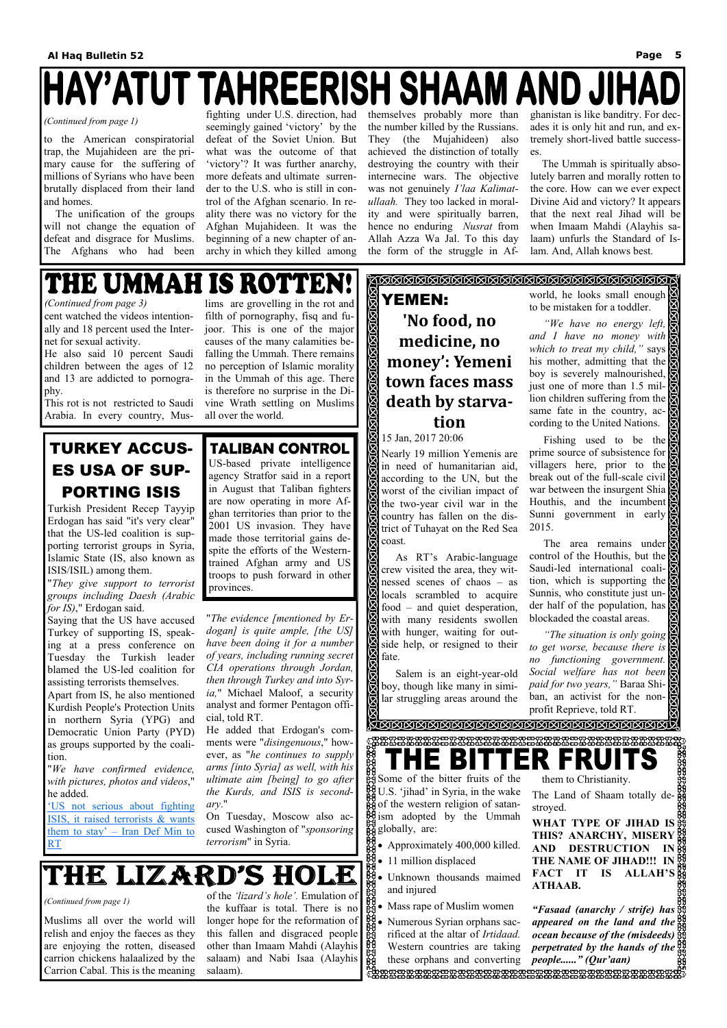# **HAY'ATUT TAHREERISH SHAAM AND JIHAD**

**SBRASHARBISIS** 

to the American conspiratorial trap, the Mujahideen are the primary cause for the suffering of millions of Syrians who have been brutally displaced from their land and homes.

 The unification of the groups will not change the equation of defeat and disgrace for Muslims. The Afghans who had been

fighting under U.S. direction, had seemingly gained 'victory' by the defeat of the Soviet Union. But what was the outcome of that 'victory'? It was further anarchy, more defeats and ultimate surrender to the U.S. who is still in control of the Afghan scenario. In reality there was no victory for the Afghan Mujahideen. It was the beginning of a new chapter of anarchy in which they killed among

themselves probably more than the number killed by the Russians. They (the Mujahideen) also achieved the distinction of totally destroying the country with their internecine wars. The objective was not genuinely *I'laa Kalimatullaah.* They too lacked in morality and were spiritually barren, hence no enduring *Nusrat* from Allah Azza Wa Jal. To this day the form of the struggle in Af-

ghanistan is like banditry. For decades it is only hit and run, and extremely short-lived battle successes.

開 of the *'lizard's hole'.* Emulation of 開朗 the kuffaar is total. There is no longer hope for the reformation of this fallen and disgraced people other than Imaam Mahdi (Alayhis salaam) and Nabi Isaa (Alayhis salaam).

### YEMEN: 'No food, no medicine, no money': Yemeni town faces mass death by starvation

 The Ummah is spiritually absolutely barren and morally rotten to the core. How can we ever expect Divine Aid and victory? It appears that the next real Jihad will be when Imaam Mahdi (Alayhis salaam) unfurls the Standard of Islam. And, Allah knows best.

## THE UMMAH IS ROTTEN!

*(Continued from page 1)* 

cent watched the videos intentionally and 18 percent used the Internet for sexual activity.

He also said 10 percent Saudi children between the ages of 12 and 13 are addicted to pornography.

This rot is not restricted to Saudi Arabia. In every country, Mus-

#### lims are grovelling in the rot and filth of pornography, fisq and fujoor. This is one of the major causes of the many calamities befalling the Ummah. There remains no perception of Islamic morality in the Ummah of this age. There is therefore no surprise in the Divine Wrath settling on Muslims all over the world.

The area remains under control of the Houthis, but the  $\delta$ Saudi-led international coalition, which is supporting the Sunnis, who constitute just under half of the population, has blockaded the coastal areas.

*(Continued from page 3)* 

Muslims all over the world will relish and enjoy the faeces as they are enjoying the rotten, diseased carrion chickens halaalized by the Carrion Cabal. This is the meaning

*(Continued from page 1)* 

15 Jan, 2017 20:06

Nearly 19 million Yemenis are in need of humanitarian aid, according to the UN, but the worst of the civilian impact of the two-year civil war in the country has fallen on the district of Tuhayat on the Red Sea coast.

 As RT's Arabic-language crew visited the area, they witnessed scenes of chaos – as locals scrambled to acquire food – and quiet desperation, with many residents swollen with hunger, waiting for outside help, or resigned to their fate.

**聞 Some of the bitter fruits of the** U.S. 'jihad' in Syria, in the wake of the western religion of satanism adopted by the Ummah globally, are:

 $\frac{1}{100}$  • Approximately 400,000 killed.

- 11 million displaced
- 丽明 • Unknown thousands maimed and injured

• Mass rape of Muslim women

 Salem is an eight-year-old boy, though like many in similar struggling areas around the

> The Land of Shaam totally destroyed.

**PEEEE** 

world, he looks small enough to be mistaken for a toddler.

<u> ASSOORAARAARAARAARAARAARAARAAN</u>

*"Fasaad (anarchy / strife) has appeared on the land and the ocean because of the (misdeeds) perpetrated by the hands of the people......" (Qur'aan)*閧 

 *"We have no energy left, and I have no money with which to treat my child,"* says his mother, admitting that the boy is severely malnourished, just one of more than 1.5 mil- $\sum$ lion children suffering from the same fate in the country,  $ac - a$ cording to the United Nations.

 Fishing used to be the prime source of subsistence for villagers here, prior to the break out of the full-scale civil war between the insurgent Shia Houthis, and the incumbent Sunni government in early 2015.

 *"The situation is only going to get worse, because there is no functioning government. Social welfare has not been paid for two years,"* Baraa Shiban, an activist for the nonprofit Reprieve, told RT.

<u>KANANANANANANANANANANANANAN</u> **THE BITTER FRUITS** 

### TURKEY ACCUS-ES USA OF SUP-PORTING ISIS

Turkish President Recep Tayyip Erdogan has said "it's very clear" that the US-led coalition is supporting terrorist groups in Syria, Islamic State (IS, also known as ISIS/ISIL) among them.

"*They give support to terrorist groups including Daesh (Arabic for IS)*," Erdogan said.

Saying that the US have accused Turkey of supporting IS, speaking at a press conference on Tuesday the Turkish leader blamed the US-led coalition for assisting terrorists themselves.

Apart from IS, he also mentioned Kurdish People's Protection Units in northern Syria (YPG) and Democratic Union Party (PYD) as groups supported by the coalition.

"*We have confirmed evidence, with pictures, photos and videos*," he added.

'US not serious about fighting ISIS, it raised terrorists & wants them to stay' – Iran Def Min to RT

"*The evidence [mentioned by Erdogan] is quite ample, [the US] have been doing it for a number of years, including running secret CIA operations through Jordan, then through Turkey and into Syria,*" Michael Maloof, a security analyst and former Pentagon official, told RT.

He added that Erdogan's comments were "*disingenuous*," however, as "*he continues to supply arms [into Syria] as well, with his ultimate aim [being] to go after the Kurds, and ISIS is secondary*."

On Tuesday, Moscow also accused Washington of "*sponsoring terrorism*" in Syria.

#### D'S HOLE THE LIZARI

### **TALIBAN CONTROL**

US-based private intelligence agency Stratfor said in a report in August that Taliban fighters are now operating in more Afghan territories than prior to the 2001 US invasion. They have made those territorial gains despite the efforts of the Westerntrained Afghan army and US troops to push forward in other provinces.

> • Numerous Syrian orphans sacrificed at the altar of *Irtidaad.*  Western countries are taking these orphans and converting

them to Christianity.

**WHAT TYPE OF JIHAD IS THIS? ANARCHY, MISERY AND DESTRUCTION IN THE NAME OF JIHAD!!! IN FACT IT IS ALLAH'S ATHAAB.**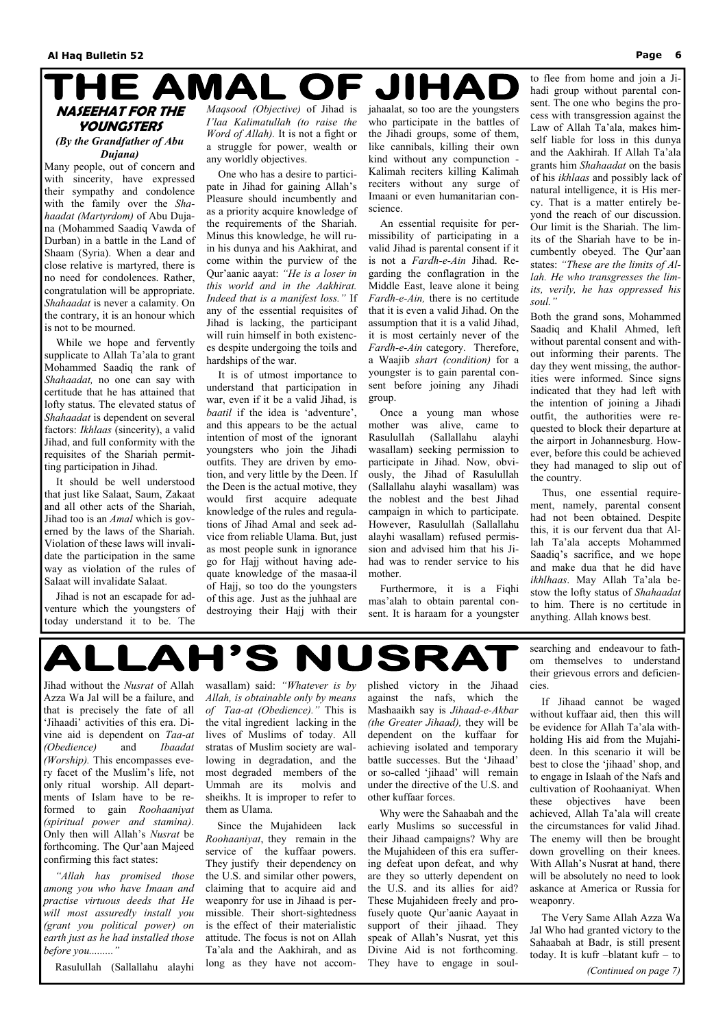# THE AMAL OF JIHAD

#### **NASEEHAT FOR THE YOUNGSTERS**  *(By the Grandfather of Abu*

*Dujana)* 

Many people, out of concern and with sincerity, have expressed their sympathy and condolence with the family over the *Shahaadat (Martyrdom)* of Abu Dujana (Mohammed Saadiq Vawda of Durban) in a battle in the Land of Shaam (Syria). When a dear and close relative is martyred, there is no need for condolences. Rather, congratulation will be appropriate. *Shahaadat* is never a calamity. On the contrary, it is an honour which is not to be mourned.

 While we hope and fervently supplicate to Allah Ta'ala to grant Mohammed Saadiq the rank of *Shahaadat,* no one can say with certitude that he has attained that lofty status. The elevated status of *Shahaadat* is dependent on several factors: *Ikhlaas* (sincerity), a valid Jihad, and full conformity with the requisites of the Shariah permitting participation in Jihad.

 It should be well understood that just like Salaat, Saum, Zakaat and all other acts of the Shariah, Jihad too is an *Amal* which is governed by the laws of the Shariah. Violation of these laws will invalidate the participation in the same way as violation of the rules of Salaat will invalidate Salaat.

 Jihad is not an escapade for adventure which the youngsters of today understand it to be. The

*Maqsood (Objective)* of Jihad is *I'laa Kalimatullah (to raise the Word of Allah).* It is not a fight or a struggle for power, wealth or any worldly objectives.

 One who has a desire to participate in Jihad for gaining Allah's Pleasure should incumbently and as a priority acquire knowledge of the requirements of the Shariah. Minus this knowledge, he will ruin his dunya and his Aakhirat, and come within the purview of the Qur'aanic aayat: *"He is a loser in this world and in the Aakhirat. Indeed that is a manifest loss."* If any of the essential requisites of Jihad is lacking, the participant will ruin himself in both existences despite undergoing the toils and hardships of the war.

 It is of utmost importance to understand that participation in war, even if it be a valid Jihad, is *baatil* if the idea is 'adventure', and this appears to be the actual intention of most of the ignorant youngsters who join the Jihadi outfits. They are driven by emotion, and very little by the Deen. If the Deen is the actual motive, they would first acquire adequate knowledge of the rules and regulations of Jihad Amal and seek advice from reliable Ulama. But, just as most people sunk in ignorance go for Hajj without having adequate knowledge of the masaa-il of Hajj, so too do the youngsters of this age. Just as the juhhaal are destroying their Hajj with their jahaalat, so too are the youngsters who participate in the battles of the Jihadi groups, some of them, like cannibals, killing their own kind without any compunction - Kalimah reciters killing Kalimah reciters without any surge of Imaani or even humanitarian conscience.

 An essential requisite for permissibility of participating in a valid Jihad is parental consent if it is not a *Fardh-e-Ain* Jihad. Regarding the conflagration in the Middle East, leave alone it being *Fardh-e-Ain,* there is no certitude that it is even a valid Jihad. On the assumption that it is a valid Jihad, it is most certainly never of the *Fardh-e-Ain* category. Therefore, a Waajib *shart (condition)* for a youngster is to gain parental consent before joining any Jihadi group.

 Once a young man whose mother was alive, came to Rasulullah (Sallallahu alayhi wasallam) seeking permission to participate in Jihad. Now, obviously, the Jihad of Rasulullah (Sallallahu alayhi wasallam) was the noblest and the best Jihad campaign in which to participate. However, Rasulullah (Sallallahu alayhi wasallam) refused permission and advised him that his Jihad was to render service to his mother.

 Furthermore, it is a Fiqhi mas'alah to obtain parental consent. It is haraam for a youngster to flee from home and join a Jihadi group without parental consent. The one who begins the process with transgression against the Law of Allah Ta'ala, makes himself liable for loss in this dunya and the Aakhirah. If Allah Ta'ala grants him *Shahaadat* on the basis of his *ikhlaas* and possibly lack of natural intelligence, it is His mercy. That is a matter entirely beyond the reach of our discussion. Our limit is the Shariah. The limits of the Shariah have to be incumbently obeyed. The Qur'aan states: *"These are the limits of Allah. He who transgresses the limits, verily, he has oppressed his soul."* 

Both the grand sons, Mohammed Saadiq and Khalil Ahmed, left without parental consent and without informing their parents. The day they went missing, the authorities were informed. Since signs indicated that they had left with the intention of joining a Jihadi outfit, the authorities were requested to block their departure at the airport in Johannesburg. However, before this could be achieved they had managed to slip out of the country.

 Thus, one essential requirement, namely, parental consent had not been obtained. Despite this, it is our fervent dua that Allah Ta'ala accepts Mohammed Saadiq's sacrifice, and we hope and make dua that he did have *ikhlhaas*. May Allah Ta'ala bestow the lofty status of *Shahaadat*  to him. There is no certitude in anything. Allah knows best.

H'S NUSRA<sup>.</sup> AI  $\blacktriangle$ 

Jihad without the *Nusrat* of Allah Azza Wa Jal will be a failure, and that is precisely the fate of all 'Jihaadi' activities of this era. Divine aid is dependent on *Taa-at (Obedience)* and *Ibaadat (Worship).* This encompasses every facet of the Muslim's life, not only ritual worship. All departments of Islam have to be reformed to gain *Roohaaniyat (spiritual power and stamina)*. Only then will Allah's *Nusrat* be forthcoming. The Qur'aan Majeed confirming this fact states:

*"Allah has promised those among you who have Imaan and practise virtuous deeds that He will most assuredly install you (grant you political power) on earth just as he had installed those before you........."* 

Rasulullah (Sallallahu alayhi

wasallam) said: *"Whatever is by Allah, is obtainable only by means of Taa-at (Obedience)."* This is the vital ingredient lacking in the lives of Muslims of today. All stratas of Muslim society are wallowing in degradation, and the most degraded members of the

Ummah are its molvis and sheikhs. It is improper to refer to them as Ulama.

 Since the Mujahideen lack *Roohaaniyat*, they remain in the service of the kuffaar powers. They justify their dependency on the U.S. and similar other powers, claiming that to acquire aid and weaponry for use in Jihaad is permissible. Their short-sightedness is the effect of their materialistic attitude. The focus is not on Allah Ta'ala and the Aakhirah, and as long as they have not accom-

plished victory in the Jihaad against the nafs, which the Mashaaikh say is *Jihaad-e-Akbar (the Greater Jihaad),* they will be dependent on the kuffaar for achieving isolated and temporary battle successes. But the 'Jihaad' or so-called 'jihaad' will remain

under the directive of the U.S. and other kuffaar forces.

 Why were the Sahaabah and the early Muslims so successful in their Jihaad campaigns? Why are the Mujahideen of this era suffering defeat upon defeat, and why are they so utterly dependent on the U.S. and its allies for aid? These Mujahideen freely and profusely quote Qur'aanic Aayaat in support of their jihaad. They speak of Allah's Nusrat, yet this Divine Aid is not forthcoming. They have to engage in soul-

searching and endeavour to fathom themselves to understand their grievous errors and deficiencies.

 If Jihaad cannot be waged without kuffaar aid, then this will be evidence for Allah Ta'ala withholding His aid from the Mujahideen. In this scenario it will be best to close the 'jihaad' shop, and to engage in Islaah of the Nafs and cultivation of Roohaaniyat. When these objectives have been achieved, Allah Ta'ala will create the circumstances for valid Jihad. The enemy will then be brought down grovelling on their knees. With Allah's Nusrat at hand, there will be absolutely no need to look askance at America or Russia for weaponry.

 The Very Same Allah Azza Wa Jal Who had granted victory to the Sahaabah at Badr, is still present today. It is kufr –blatant kufr – to

*(Continued on page 7)*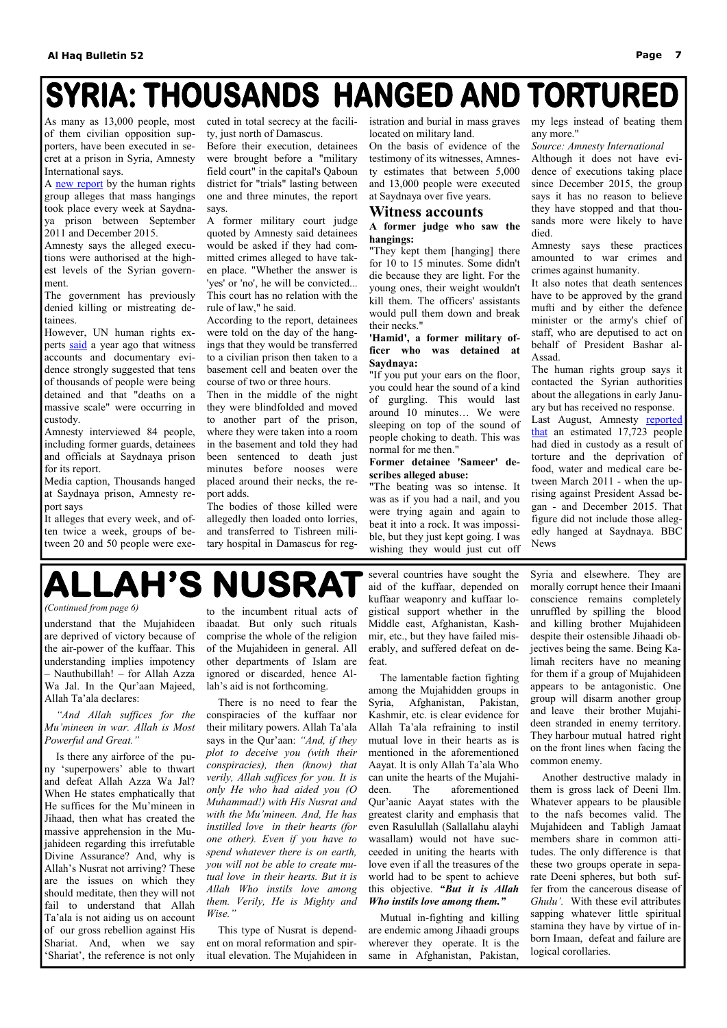## **SYRIA: THOUSANDS HANGED AND TORTURED**

As many as 13,000 people, most of them civilian opposition supporters, have been executed in secret at a prison in Syria, Amnesty International says.

A new report by the human rights group alleges that mass hangings took place every week at Saydnaya prison between September 2011 and December 2015.

Amnesty says the alleged executions were authorised at the highest levels of the Syrian government.

The government has previously denied killing or mistreating detainees.

However, UN human rights experts said a year ago that witness accounts and documentary evidence strongly suggested that tens of thousands of people were being detained and that "deaths on a massive scale" were occurring in custody.

Amnesty interviewed 84 people, including former guards, detainees and officials at Saydnaya prison for its report.

Media caption, Thousands hanged at Saydnaya prison, Amnesty report says

It alleges that every week, and often twice a week, groups of between 20 and 50 people were executed in total secrecy at the facility, just north of Damascus.

Before their execution, detainees were brought before a "military field court" in the capital's Qaboun district for "trials" lasting between one and three minutes, the report says.

A former military court judge quoted by Amnesty said detainees would be asked if they had committed crimes alleged to have taken place. "Whether the answer is 'yes' or 'no', he will be convicted... This court has no relation with the rule of law," he said.

According to the report, detainees were told on the day of the hangings that they would be transferred to a civilian prison then taken to a basement cell and beaten over the course of two or three hours.

Then in the middle of the night they were blindfolded and moved to another part of the prison, where they were taken into a room in the basement and told they had been sentenced to death just minutes before nooses were placed around their necks, the report adds.

The bodies of those killed were allegedly then loaded onto lorries, and transferred to Tishreen military hospital in Damascus for reg-

Last August, Amnesty reported that an estimated 17,723 people had died in custody as a result of torture and the deprivation of food, water and medical care between March 2011 - when the uprising against President Assad began - and December 2015. That figure did not include those allegedly hanged at Saydnaya. BBC News

## ALLAH'S NUSRAT

istration and burial in mass graves located on military land.

On the basis of evidence of the testimony of its witnesses, Amnesty estimates that between 5,000 and 13,000 people were executed at Saydnaya over five years.

#### **Witness accounts**

#### **A former judge who saw the hangings:**

"They kept them [hanging] there for 10 to 15 minutes. Some didn't die because they are light. For the young ones, their weight wouldn't kill them. The officers' assistants would pull them down and break their necks."

#### **'Hamid', a former military officer who was detained at Saydnaya:**

"If you put your ears on the floor, you could hear the sound of a kind of gurgling. This would last around 10 minutes… We were sleeping on top of the sound of people choking to death. This was normal for me then."

#### **Former detainee 'Sameer' describes alleged abuse:**

"The beating was so intense. It was as if you had a nail, and you were trying again and again to beat it into a rock. It was impossible, but they just kept going. I was wishing they would just cut off my legs instead of beating them any more."

#### *Source: Amnesty International*

Although it does not have evidence of executions taking place since December 2015, the group says it has no reason to believe they have stopped and that thousands more were likely to have died.

Amnesty says these practices amounted to war crimes and crimes against humanity.

It also notes that death sentences have to be approved by the grand mufti and by either the defence minister or the army's chief of staff, who are deputised to act on behalf of President Bashar al-Assad.

The human rights group says it contacted the Syrian authorities about the allegations in early January but has received no response.

understand that the Mujahideen are deprived of victory because of the air-power of the kuffaar. This understanding implies impotency – Nauthubillah! – for Allah Azza Wa Jal. In the Qur'aan Majeed, Allah Ta'ala declares:

 *"And Allah suffices for the Mu'mineen in war. Allah is Most Powerful and Great."* 

 Is there any airforce of the puny 'superpowers' able to thwart

and defeat Allah Azza Wa Jal? When He states emphatically that He suffices for the Mu'mineen in Jihaad, then what has created the massive apprehension in the Mujahideen regarding this irrefutable Divine Assurance? And, why is Allah's Nusrat not arriving? These are the issues on which they should meditate, then they will not fail to understand that Allah Ta'ala is not aiding us on account of our gross rebellion against His Shariat. And, when we say 'Shariat', the reference is not only

to the incumbent ritual acts of ibaadat. But only such rituals comprise the whole of the religion of the Mujahideen in general. All other departments of Islam are ignored or discarded, hence Allah's aid is not forthcoming.

 There is no need to fear the conspiracies of the kuffaar nor their military powers. Allah Ta'ala says in the Qur'aan: *"And, if they plot to deceive you (with their conspiracies), then (know) that verily, Allah suffices for you. It is only He who had aided you (O Muhammad!) with His Nusrat and with the Mu'mineen. And, He has instilled love in their hearts (for one other). Even if you have to spend whatever there is on earth, you will not be able to create mutual love in their hearts. But it is Allah Who instils love among them. Verily, He is Mighty and Wise."* 

This type of Nusrat is dependent on moral reformation and spiritual elevation. The Mujahideen in

several countries have sought the aid of the kuffaar, depended on kuffaar weaponry and kuffaar logistical support whether in the Middle east, Afghanistan, Kashmir, etc., but they have failed miserably, and suffered defeat on defeat.

 The lamentable faction fighting among the Mujahidden groups in Syria, Afghanistan, Pakistan, Kashmir, etc. is clear evidence for Allah Ta'ala refraining to instil mutual love in their hearts as is mentioned in the aforementioned Aayat. It is only Allah Ta'ala Who can unite the hearts of the Mujahideen. The aforementioned Qur'aanic Aayat states with the greatest clarity and emphasis that even Rasulullah (Sallallahu alayhi wasallam) would not have succeeded in uniting the hearts with love even if all the treasures of the world had to be spent to achieve this objective. *"But it is Allah Who instils love among them."*

Mutual in-fighting and killing are endemic among Jihaadi groups wherever they operate. It is the same in Afghanistan, Pakistan,

Syria and elsewhere. They are morally corrupt hence their Imaani conscience remains completely unruffled by spilling the blood and killing brother Mujahideen despite their ostensible Jihaadi objectives being the same. Being Kalimah reciters have no meaning for them if a group of Mujahideen appears to be antagonistic. One group will disarm another group and leave their brother Mujahideen stranded in enemy territory. They harbour mutual hatred right on the front lines when facing the common enemy.

 Another destructive malady in them is gross lack of Deeni Ilm. Whatever appears to be plausible to the nafs becomes valid. The Mujahideen and Tabligh Jamaat members share in common attitudes. The only difference is that these two groups operate in separate Deeni spheres, but both suffer from the cancerous disease of *Ghulu'.* With these evil attributes sapping whatever little spiritual stamina they have by virtue of inborn Imaan, defeat and failure are logical corollaries.

#### *(Continued from page 6)*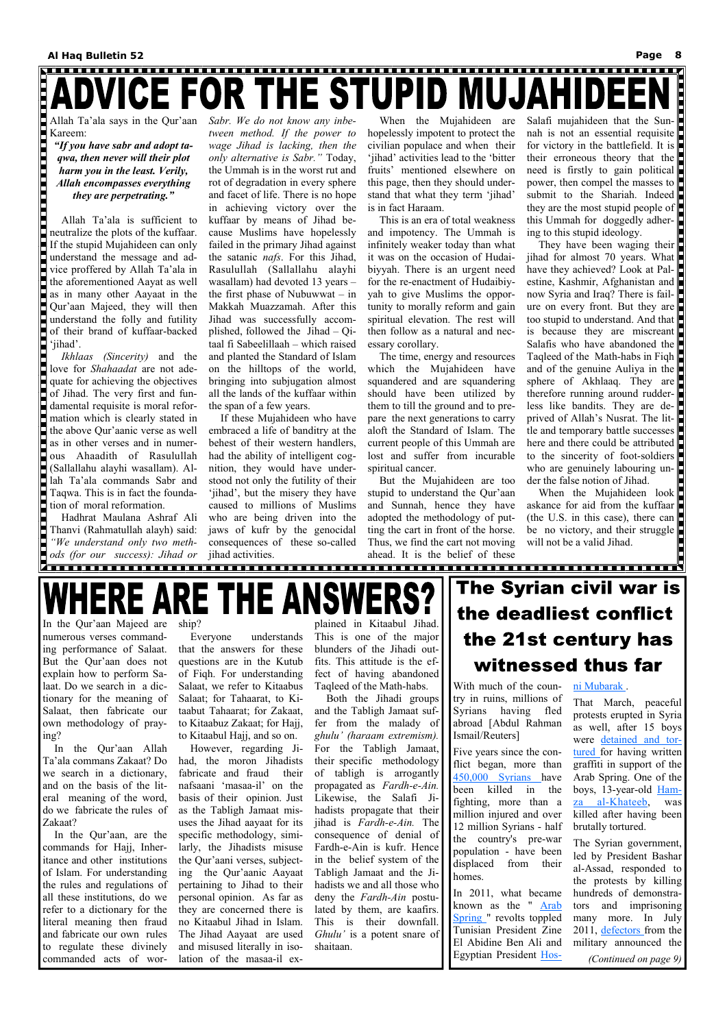<u>TTTTTTTTTTTTTTTTTTTTTTTT</u>

Kareem:

*"If you have sabr and adopt taqwa, then never will their plot harm you in the least. Verily, Allah encompasses everything they are perpetrating."* 

 Allah Ta'ala is sufficient to neutralize the plots of the kuffaar. If the stupid Mujahideen can only understand the message and advice proffered by Allah Ta'ala in the aforementioned Aayat as well as in many other Aayaat in the Qur'aan Majeed, they will then understand the folly and futility of their brand of kuffaar-backed 'jihad'.

 *Ikhlaas (Sincerity)* and the love for *Shahaadat* are not adequate for achieving the objectives of Jihad. The very first and fundamental requisite is moral reformation which is clearly stated in the above Qur'aanic verse as well as in other verses and in numerous Ahaadith of Rasulullah (Sallallahu alayhi wasallam). Allah Ta'ala commands Sabr and Taqwa. This is in fact the foundation of moral reformation.

 Hadhrat Maulana Ashraf Ali Thanvi (Rahmatullah alayh) said: *"We understand only two methods (for our success): Jihad or* 

. **. . . . . . . . . . . . . . .** . UPID R Allah Ta'ala says in the Qur'aan *Sabr. We do not know any inbe-*When the Mujahideen are

*tween method. If the power to wage Jihad is lacking, then the only alternative is Sabr."* Today, the Ummah is in the worst rut and rot of degradation in every sphere and facet of life. There is no hope in achieving victory over the kuffaar by means of Jihad because Muslims have hopelessly failed in the primary Jihad against the satanic *nafs*. For this Jihad, Rasulullah (Sallallahu alayhi wasallam) had devoted 13 years – the first phase of Nubuwwat – in Makkah Muazzamah. After this Jihad was successfully accomplished, followed the Jihad – Qitaal fi Sabeelillaah – which raised and planted the Standard of Islam on the hilltops of the world, bringing into subjugation almost all the lands of the kuffaar within the span of a few years.

 If these Mujahideen who have embraced a life of banditry at the behest of their western handlers, had the ability of intelligent cognition, they would have understood not only the futility of their 'jihad', but the misery they have caused to millions of Muslims who are being driven into the jaws of kufr by the genocidal consequences of these so-called jihad activities.

hopelessly impotent to protect the civilian populace and when their 'jihad' activities lead to the 'bitter fruits' mentioned elsewhere on this page, then they should understand that what they term 'jihad' is in fact Haraam.

#### IERE ARE THE AI NSI In the Qur'aan Majeed are ship?

 This is an era of total weakness and impotency. The Ummah is infinitely weaker today than what it was on the occasion of Hudaibiyyah. There is an urgent need for the re-enactment of Hudaibiyyah to give Muslims the opportunity to morally reform and gain spiritual elevation. The rest will then follow as a natural and necessary corollary.

 The time, energy and resources which the Mujahideen have squandered and are squandering should have been utilized by them to till the ground and to prepare the next generations to carry aloft the Standard of Islam. The current people of this Ummah are lost and suffer from incurable spiritual cancer.

 But the Mujahideen are too stupid to understand the Qur'aan and Sunnah, hence they have adopted the methodology of putting the cart in front of the horse. Thus, we find the cart not moving ahead. It is the belief of these

> Five years since the conflict began, more than 450,000 Syrians have

Salafi mujahideen that the Sunnah is not an essential requisite for victory in the battlefield. It is their erroneous theory that the need is firstly to gain political power, then compel the masses to submit to the Shariah. Indeed  $\Box$ they are the most stupid people of this Ummah for doggedly adher- $\Box$ ing to this stupid ideology.

They have been waging their jihad for almost 70 years. What have they achieved? Look at Palestine, Kashmir, Afghanistan and now Syria and Iraq? There is failure on every front. But they are too stupid to understand. And that is because they are miscreant Salafis who have abandoned the Taqleed of the Math-habs in Fiqh and of the genuine Auliya in the sphere of Akhlaaq. They are therefore running around rudderless like bandits. They are deprived of Allah's Nusrat. The little and temporary battle successes here and there could be attributed  $\Box$ to the sincerity of foot-soldiers who are genuinely labouring un- $\Box$ der the false notion of Jihad.<br>When the Mujahideen look

 When the Mujahideen look askance for aid from the kuffaar (the U.S. in this case), there can be no victory, and their struggle will not be a valid Jihad.

numerous verses commanding performance of Salaat. But the Qur'aan does not explain how to perform Salaat. Do we search in a dictionary for the meaning of Salaat, then fabricate our own methodology of praying?

 In the Qur'aan Allah Ta'ala commans Zakaat? Do we search in a dictionary,

and on the basis of the literal meaning of the word, do we fabricate the rules of Zakaat?

 In the Qur'aan, are the commands for Hajj, Inheritance and other institutions of Islam. For understanding the rules and regulations of all these institutions, do we refer to a dictionary for the literal meaning then fraud and fabricate our own rules to regulate these divinely commanded acts of wor-

 Everyone understands that the answers for these questions are in the Kutub of Fiqh. For understanding Salaat, we refer to Kitaabus Salaat; for Tahaarat, to Kitaabut Tahaarat; for Zakaat, to Kitaabuz Zakaat; for Hajj, to Kitaabul Hajj, and so on.

 However, regarding Jihad, the moron Jihadists fabricate and fraud their nafsaani 'masaa-il' on the basis of their opinion. Just as the Tabligh Jamaat misuses the Jihad aayaat for its specific methodology, similarly, the Jihadists misuse the Qur'aani verses, subjecting the Qur'aanic Aayaat pertaining to Jihad to their personal opinion. As far as they are concerned there is no Kitaabul Jihad in Islam. The Jihad Aayaat are used and misused literally in isolation of the masaa-il ex-

plained in Kitaabul Jihad. This is one of the major blunders of the Jihadi outfits. This attitude is the effect of having abandoned Taqleed of the Math-habs.

 Both the Jihadi groups and the Tabligh Jamaat suffer from the malady of *ghulu' (haraam extremism).*  For the Tabligh Jamaat, their specific methodology of tabligh is arrogantly propagated as *Fardh-e-Ain.*  Likewise, the Salafi Jihadists propagate that their jihad is *Fardh-e-Ain.* The consequence of denial of Fardh-e-Ain is kufr. Hence in the belief system of the Tabligh Jamaat and the Jihadists we and all those who deny the *Fardh-Ain* postulated by them, are kaafirs. This is their downfall. *Ghulu'* is a potent snare of shaitaan.

### The Syrian civil war is the deadliest conflict the 21st century has witnessed thus far

With much of the country in ruins, millions of Syrians having fled abroad [Abdul Rahman Ismail/Reuters]

been killed in the fighting, more than a million injured and over 12 million Syrians - half the country's pre-war population - have been displaced from their homes.

In 2011, what became known as the " **Arab** Spring " revolts toppled Tunisian President Zine El Abidine Ben Ali and Egyptian President Hosni Mubarak .

That March, peaceful protests erupted in Syria as well, after 15 boys were detained and tortured for having written graffiti in support of the Arab Spring. One of the boys, 13-year-old Hamza al-Khateeb, was killed after having been brutally tortured. The Syrian government, led by President Bashar al-Assad, responded to the protests by killing hundreds of demonstrators and imprisoning many more. In July 2011, defectors from the military announced the *(Continued on page 9)*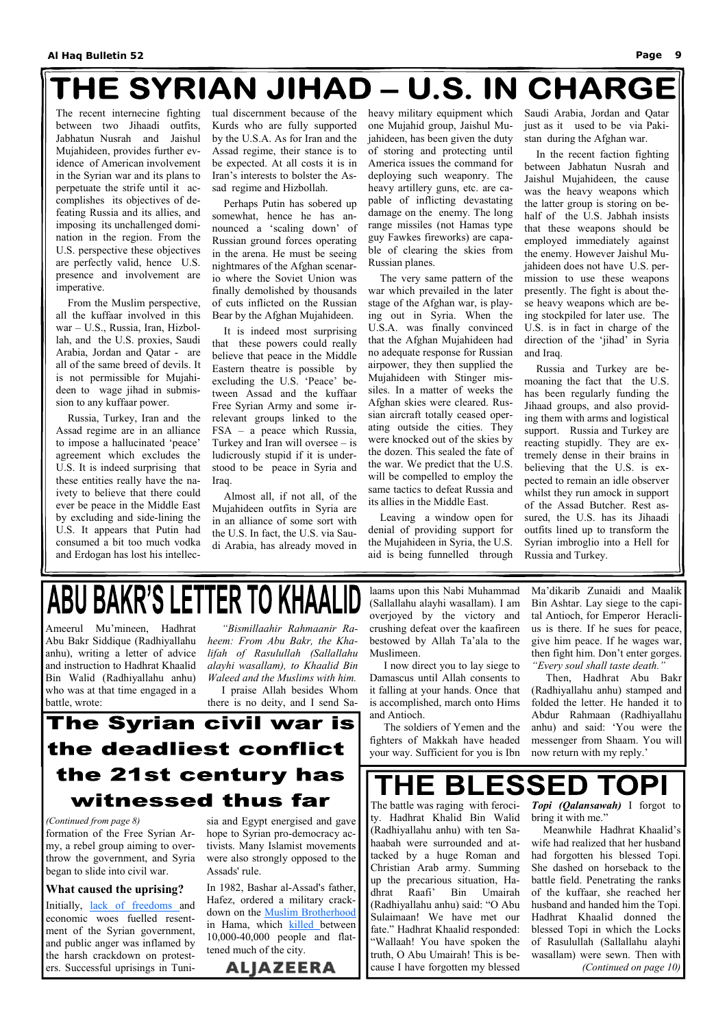## THE SYRIAN JIHAD - U.S. IN CHARGE

The recent internecine fighting between two Jihaadi outfits, Jabhatun Nusrah and Jaishul Mujahideen, provides further evidence of American involvement in the Syrian war and its plans to perpetuate the strife until it accomplishes its objectives of defeating Russia and its allies, and imposing its unchallenged domination in the region. From the U.S. perspective these objectives are perfectly valid, hence U.S. presence and involvement are imperative.

 From the Muslim perspective, all the kuffaar involved in this war – U.S., Russia, Iran, Hizbollah, and the U.S. proxies, Saudi Arabia, Jordan and Qatar - are all of the same breed of devils. It is not permissible for Mujahideen to wage jihad in submission to any kuffaar power.

 Russia, Turkey, Iran and the Assad regime are in an alliance to impose a hallucinated 'peace' agreement which excludes the U.S. It is indeed surprising that these entities really have the naivety to believe that there could ever be peace in the Middle East by excluding and side-lining the U.S. It appears that Putin had consumed a bit too much vodka and Erdogan has lost his intellectual discernment because of the Kurds who are fully supported by the U.S.A. As for Iran and the Assad regime, their stance is to be expected. At all costs it is in Iran's interests to bolster the Assad regime and Hizbollah.

 Perhaps Putin has sobered up somewhat, hence he has announced a 'scaling down' of Russian ground forces operating in the arena. He must be seeing nightmares of the Afghan scenario where the Soviet Union was finally demolished by thousands of cuts inflicted on the Russian Bear by the Afghan Mujahideen.

 It is indeed most surprising that these powers could really believe that peace in the Middle Eastern theatre is possible by excluding the U.S. 'Peace' between Assad and the kuffaar Free Syrian Army and some irrelevant groups linked to the FSA – a peace which Russia, Turkey and Iran will oversee – is ludicrously stupid if it is understood to be peace in Syria and Iraq.

 Almost all, if not all, of the Mujahideen outfits in Syria are in an alliance of some sort with the U.S. In fact, the U.S. via Saudi Arabia, has already moved in heavy military equipment which one Mujahid group, Jaishul Mujahideen, has been given the duty of storing and protecting until America issues the command for deploying such weaponry. The heavy artillery guns, etc. are capable of inflicting devastating damage on the enemy. The long range missiles (not Hamas type guy Fawkes fireworks) are capable of clearing the skies from Russian planes.

 The very same pattern of the war which prevailed in the later stage of the Afghan war, is playing out in Syria. When the U.S.A. was finally convinced that the Afghan Mujahideen had no adequate response for Russian airpower, they then supplied the Mujahideen with Stinger missiles. In a matter of weeks the Afghan skies were cleared. Russian aircraft totally ceased operating outside the cities. They were knocked out of the skies by the dozen. This sealed the fate of the war. We predict that the U.S. will be compelled to employ the same tactics to defeat Russia and its allies in the Middle East.

Initially, lack of freedoms and economic woes fuelled resentment of the Syrian government, and public anger was inflamed by the harsh crackdown on protesters. Successful uprisings in Tuni-

 Leaving a window open for denial of providing support for the Mujahideen in Syria, the U.S. aid is being funnelled through Saudi Arabia, Jordan and Qatar just as it used to be via Pakistan during the Afghan war.

 In the recent faction fighting between Jabhatun Nusrah and Jaishul Mujahideen, the cause was the heavy weapons which the latter group is storing on behalf of the U.S. Jabhah insists that these weapons should be employed immediately against the enemy. However Jaishul Mujahideen does not have U.S. permission to use these weapons presently. The fight is about these heavy weapons which are being stockpiled for later use. The U.S. is in fact in charge of the direction of the 'jihad' in Syria and Iraq.

 Russia and Turkey are bemoaning the fact that the U.S. has been regularly funding the Jihaad groups, and also providing them with arms and logistical support. Russia and Turkey are reacting stupidly. They are extremely dense in their brains in believing that the U.S. is expected to remain an idle observer whilst they run amock in support of the Assad Butcher. Rest assured, the U.S. has its Jihaadi outfits lined up to transform the Syrian imbroglio into a Hell for Russia and Turkey.



Ameerul Mu'mineen, Hadhrat Abu Bakr Siddique (Radhiyallahu anhu), writing a letter of advice and instruction to Hadhrat Khaalid Bin Walid (Radhiyallahu anhu) who was at that time engaged in a battle, wrote:

*"Bismillaahir Rahmaanir Raheem: From Abu Bakr, the Khalifah of Rasulullah (Sallallahu alayhi wasallam), to Khaalid Bin Waleed and the Muslims with him.*  I praise Allah besides Whom

there is no deity, and I send Sa-

## The Syrian civil war is the deadliest conflict the 21st century has witnessed thus far

laams upon this Nabi Muhammad (Sallallahu alayhi wasallam). I am overjoyed by the victory and crushing defeat over the kaafireen bestowed by Allah Ta'ala to the Muslimeen.

 I now direct you to lay siege to Damascus until Allah consents to it falling at your hands. Once that is accomplished, march onto Hims and Antioch.

 The soldiers of Yemen and the fighters of Makkah have headed your way. Sufficient for you is Ibn Ma'dikarib Zunaidi and Maalik Bin Ashtar. Lay siege to the capital Antioch, for Emperor Heraclius is there. If he sues for peace, give him peace. If he wages war, then fight him. Don't enter gorges. *"Every soul shall taste death."* 

 Then, Hadhrat Abu Bakr (Radhiyallahu anhu) stamped and folded the letter. He handed it to Abdur Rahmaan (Radhiyallahu anhu) and said: 'You were the messenger from Shaam. You will now return with my reply.'

#### **What caused the uprising?**

formation of the Free Syrian Army, a rebel group aiming to overthrow the government, and Syria began to slide into civil war. *(Continued from page 8)* 

sia and Egypt energised and gave hope to Syrian pro-democracy activists. Many Islamist movements were also strongly opposed to the Assads' rule.

In 1982, Bashar al-Assad's father, Hafez, ordered a military crackdown on the Muslim Brotherhood in Hama, which killed between 10,000-40,000 people and flattened much of the city.

**ALIAZEERA** 

## THE BLESSED TOPI

The battle was raging with ferocity. Hadhrat Khalid Bin Walid (Radhiyallahu anhu) with ten Sahaabah were surrounded and attacked by a huge Roman and Christian Arab army. Summing up the precarious situation, Hadhrat Raafi' Bin Umairah (Radhiyallahu anhu) said: "O Abu Sulaimaan! We have met our fate." Hadhrat Khaalid responded: "Wallaah! You have spoken the truth, O Abu Umairah! This is because I have forgotten my blessed

*Topi (Qalansawah)* I forgot to bring it with me."

 Meanwhile Hadhrat Khaalid's wife had realized that her husband had forgotten his blessed Topi. She dashed on horseback to the battle field. Penetrating the ranks of the kuffaar, she reached her husband and handed him the Topi. Hadhrat Khaalid donned the blessed Topi in which the Locks of Rasulullah (Sallallahu alayhi wasallam) were sewn. Then with *(Continued on page 10)*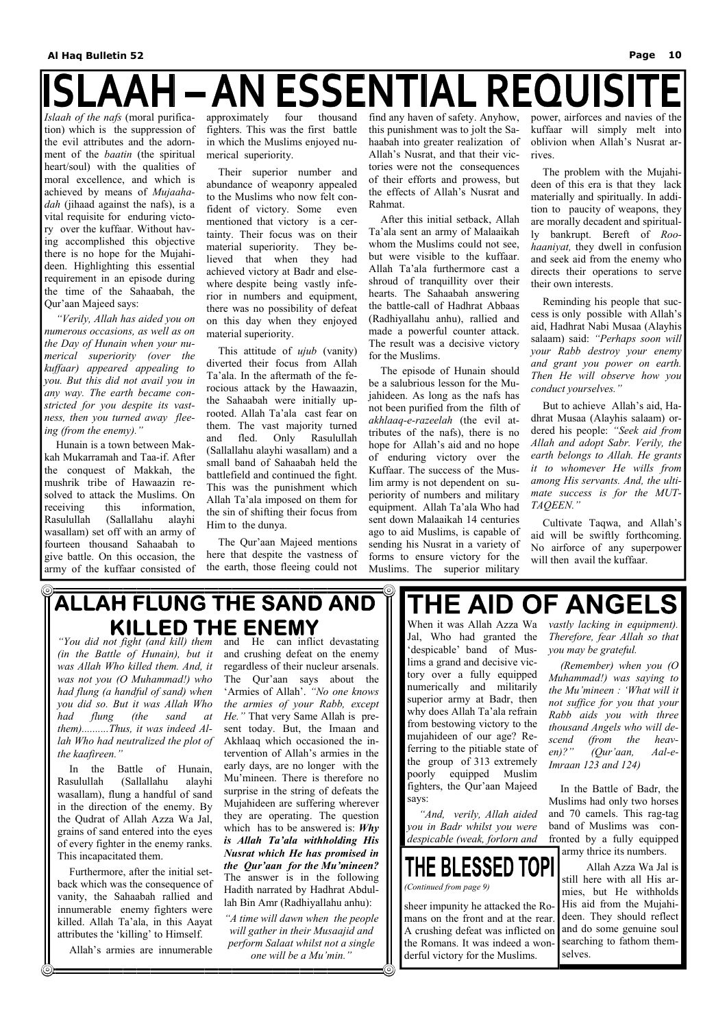*"You did not fight (and kill) them (in the Battle of Hunain), but it was Allah Who killed them. And, it was not you (O Muhammad!) who had flung (a handful of sand) when you did so. But it was Allah Who had flung (the sand at them)..........Thus, it was indeed Allah Who had neutralized the plot of the kaafireen."*

In the Battle of Hunain,

Rasulullah (Sallallahu alayhi wasallam), flung a handful of sand in the direction of the enemy. By the Qudrat of Allah Azza Wa Jal, grains of sand entered into the eyes of every fighter in the enemy ranks. This incapacitated them.

 Furthermore, after the initial setback which was the consequence of vanity, the Sahaabah rallied and innumerable enemy fighters were killed. Allah Ta'ala, in this Aayat attributes the 'killing' to Himself.

Allah's armies are innumerable

 $^{(0)}$ 

## AN ESSENTIAL REQUISITE *Islaah of the nafs* (moral purifica-

and He can inflict devastating and crushing defeat on the enemy regardless of their nucleur arsenals. The Qur'aan says about the 'Armies of Allah'. *"No one knows the armies of your Rabb, except He."* That very Same Allah is present today. But, the Imaan and Akhlaaq which occasioned the intervention of Allah's armies in the early days, are no longer with the Mu'mineen. There is therefore no surprise in the string of defeats the Mujahideen are suffering wherever they are operating. The question which has to be answered is: *Why is Allah Ta'ala withholding His Nusrat which He has promised in the Qur'aan for the Mu'mineen?* The answer is in the following Hadith narrated by Hadhrat Abdullah Bin Amr (Radhiyallahu anhu):

## THE AID OF ANGELS

*"A time will dawn when the people will gather in their Musaajid and perform Salaat whilst not a single one will be a Mu'min."*

tion) which is the suppression of the evil attributes and the adornment of the *baatin* (the spiritual heart/soul) with the qualities of moral excellence, and which is achieved by means of *Mujaahadah* (jihaad against the nafs), is a vital requisite for enduring victory over the kuffaar. Without having accomplished this objective there is no hope for the Mujahideen. Highlighting this essential requirement in an episode during the time of the Sahaabah, the Qur'aan Majeed says:

*"Verily, Allah has aided you on numerous occasions, as well as on the Day of Hunain when your numerical superiority (over the kuffaar) appeared appealing to you. But this did not avail you in any way. The earth became constricted for you despite its vastness, then you turned away fleeing (from the enemy)."* 

 Hunain is a town between Makkah Mukarramah and Taa-if. After the conquest of Makkah, the mushrik tribe of Hawaazin resolved to attack the Muslims. On receiving this information, Rasulullah (Sallallahu alayhi wasallam) set off with an army of fourteen thousand Sahaabah to give battle. On this occasion, the army of the kuffaar consisted of approximately four thousand fighters. This was the first battle in which the Muslims enjoyed numerical superiority.

 Their superior number and abundance of weaponry appealed to the Muslims who now felt confident of victory. Some even mentioned that victory is a certainty. Their focus was on their material superiority. They believed that when they had achieved victory at Badr and elsewhere despite being vastly inferior in numbers and equipment, there was no possibility of defeat on this day when they enjoyed material superiority.

 This attitude of *ujub* (vanity) diverted their focus from Allah Ta'ala. In the aftermath of the ferocious attack by the Hawaazin, the Sahaabah were initially uprooted. Allah Ta'ala cast fear on them. The vast majority turned and fled. Only Rasulullah (Sallallahu alayhi wasallam) and a small band of Sahaabah held the battlefield and continued the fight. This was the punishment which Allah Ta'ala imposed on them for the sin of shifting their focus from Him to the dunya.

 The Qur'aan Majeed mentions here that despite the vastness of the earth, those fleeing could not find any haven of safety. Anyhow, this punishment was to jolt the Sahaabah into greater realization of Allah's Nusrat, and that their victories were not the consequences of their efforts and prowess, but the effects of Allah's Nusrat and Rahmat.

 After this initial setback, Allah Ta'ala sent an army of Malaaikah whom the Muslims could not see, but were visible to the kuffaar. Allah Ta'ala furthermore cast a shroud of tranquillity over their hearts. The Sahaabah answering the battle-call of Hadhrat Abbaas (Radhiyallahu anhu), rallied and made a powerful counter attack. The result was a decisive victory for the Muslims.

 The episode of Hunain should be a salubrious lesson for the Mujahideen. As long as the nafs has not been purified from the filth of *akhlaaq-e-razeelah* (the evil attributes of the nafs), there is no hope for Allah's aid and no hope of enduring victory over the Kuffaar. The success of the Muslim army is not dependent on superiority of numbers and military equipment. Allah Ta'ala Who had sent down Malaaikah 14 centuries ago to aid Muslims, is capable of sending his Nusrat in a variety of forms to ensure victory for the Muslims. The superior military

power, airforces and navies of the kuffaar will simply melt into oblivion when Allah's Nusrat arrives.

 The problem with the Mujahideen of this era is that they lack materially and spiritually. In addition to paucity of weapons, they are morally decadent and spiritually bankrupt. Bereft of *Roohaaniyat,* they dwell in confusion and seek aid from the enemy who directs their operations to serve their own interests.

 Reminding his people that success is only possible with Allah's aid, Hadhrat Nabi Musaa (Alayhis salaam) said: *"Perhaps soon will your Rabb destroy your enemy and grant you power on earth. Then He will observe how you conduct yourselves."* 

 But to achieve Allah's aid, Hadhrat Musaa (Alayhis salaam) ordered his people: *"Seek aid from Allah and adopt Sabr. Verily, the earth belongs to Allah. He grants it to whomever He wills from among His servants. And, the ultimate success is for the MUT-TAQEEN."* 

 Cultivate Taqwa, and Allah's aid will be swiftly forthcoming. No airforce of any superpower will then avail the kuffaar.

## ALLAH FLUNG THE SAND AND **KILLED THE ENEMY**

When it was Allah Azza Wa Jal, Who had granted the 'despicable' band of Muslims a grand and decisive victory over a fully equipped numerically and militarily superior army at Badr, then why does Allah Ta'ala refrain from bestowing victory to the mujahideen of our age? Referring to the pitiable state of the group of 313 extremely poorly equipped Muslim fighters, the Qur'aan Majeed says:

*"And, verily, Allah aided you in Badr whilst you were despicable (weak, forlorn and* 

## THE BLESSED TOPI

*vastly lacking in equipment). Therefore, fear Allah so that you may be grateful.* 

 *(Remember) when you (O Muhammad!) was saying to the Mu'mineen : 'What will it not suffice for you that your Rabb aids you with three thousand Angels who will descend (from the heaven)?" (Qur'aan, Aal-e-Imraan 123 and 124)* 

 In the Battle of Badr, the Muslims had only two horses and 70 camels. This rag-tag band of Muslims was confronted by a fully equipped army thrice its numbers.

 Allah Azza Wa Jal is still here with all His armies, but He withholds His aid from the Mujahideen. They should reflect and do some genuine soul searching to fathom themselves.

sheer impunity he attacked the Romans on the front and at the rear. A crushing defeat was inflicted on the Romans. It was indeed a wonderful victory for the Muslims.

*(Continued from page 9)* 

 $\odot$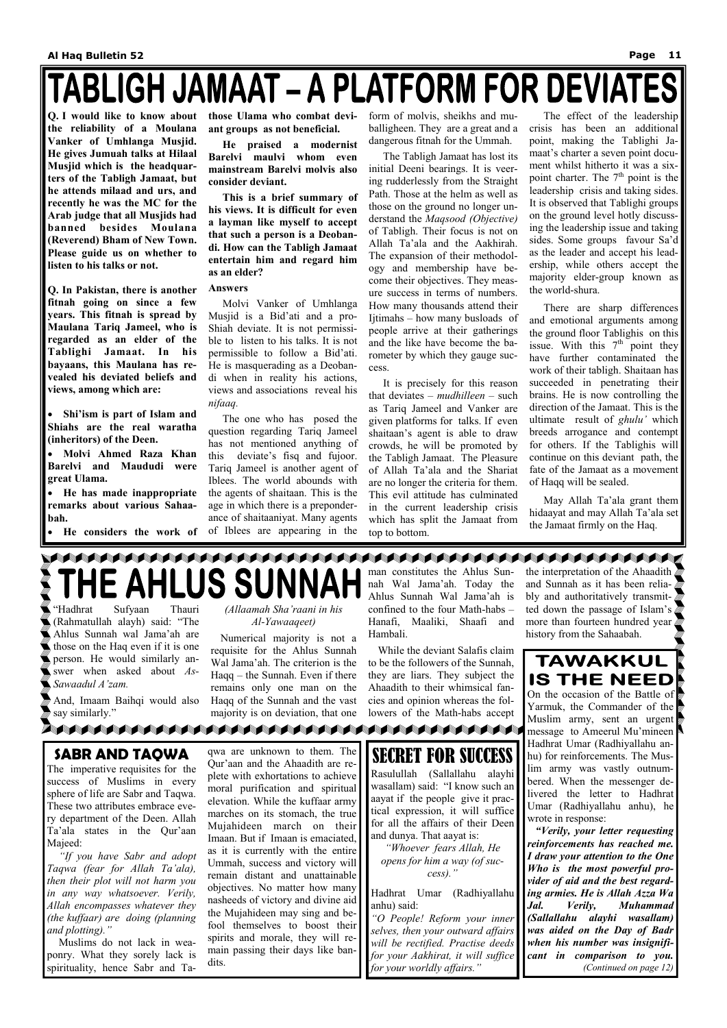# TABLIGH JAMAAT – A PLATFORM FOR DEVIATES

**Q. I would like to know about the reliability of a Moulana Vanker of Umhlanga Musjid. He gives Jumuah talks at Hilaal Musjid which is the headquarters of the Tabligh Jamaat, but he attends milaad and urs, and recently he was the MC for the Arab judge that all Musjids had banned besides Moulana (Reverend) Bham of New Town. Please guide us on whether to listen to his talks or not.** 

**Q. In Pakistan, there is another fitnah going on since a few years. This fitnah is spread by Maulana Tariq Jameel, who is regarded as an elder of the Tablighi Jamaat. In his bayaans, this Maulana has revealed his deviated beliefs and views, among which are:** 

- **Shi'ism is part of Islam and Shiahs are the real waratha (inheritors) of the Deen.**
- **Molvi Ahmed Raza Khan Barelvi and Maududi were great Ulama.**
- **He has made inappropriate remarks about various Sahaabah.**
- **He considers the work of**

**those Ulama who combat deviant groups as not beneficial.**

 **He praised a modernist Barelvi maulvi whom even mainstream Barelvi molvis also consider deviant.**

 **This is a brief summary of his views. It is difficult for even a layman like myself to accept that such a person is a Deobandi. How can the Tabligh Jamaat entertain him and regard him as an elder?** 

#### **Answers**

 Molvi Vanker of Umhlanga Musjid is a Bid'ati and a pro-Shiah deviate. It is not permissible to listen to his talks. It is not permissible to follow a Bid'ati. He is masquerading as a Deobandi when in reality his actions, views and associations reveal his *nifaaq.* 

 The one who has posed the question regarding Tariq Jameel has not mentioned anything of this deviate's fisq and fujoor. Tariq Jameel is another agent of Iblees. The world abounds with the agents of shaitaan. This is the age in which there is a preponderance of shaitaaniyat. Many agents of Iblees are appearing in the

form of molvis, sheikhs and muballigheen. They are a great and a dangerous fitnah for the Ummah.

 The Tabligh Jamaat has lost its initial Deeni bearings. It is veering rudderlessly from the Straight Path. Those at the helm as well as those on the ground no longer understand the *Maqsood (Objective)*  of Tabligh. Their focus is not on Allah Ta'ala and the Aakhirah. The expansion of their methodology and membership have become their objectives. They measure success in terms of numbers. How many thousands attend their Ijtimahs – how many busloads of people arrive at their gatherings and the like have become the barometer by which they gauge success.

the interpretation of the Ahaadith  $\mathbb Z$ and Sunnah as it has been reliably and authoritatively transmitted down the passage of Islam's more than fourteen hundred year history from the Sahaabah.

 It is precisely for this reason that deviates – *mudhilleen* – such as Tariq Jameel and Vanker are given platforms for talks. If even shaitaan's agent is able to draw crowds, he will be promoted by the Tabligh Jamaat. The Pleasure of Allah Ta'ala and the Shariat are no longer the criteria for them. This evil attitude has culminated in the current leadership crisis which has split the Jamaat from top to bottom.

> TAWAKKUL **IS THE NEED** On the occasion of the Battle of Yarmuk, the Commander of the Muslim army, sent an urgent message to Ameerul Mu'mineen Hadhrat Umar (Radhiyallahu anhu) for reinforcements. The Muslim army was vastly outnumbered. When the messenger delivered the letter to Hadhrat Umar (Radhiyallahu anhu), he wrote in response: *"Verily, your letter requesting reinforcements has reached me. I draw your attention to the One Who is the most powerful provider of aid and the best regarding armies. He is Allah Azza Wa Jal. Verily, Muhammad (Sallallahu alayhi wasallam) was aided on the Day of Badr when his number was insignificant in comparison to you. (Continued on page 12)*

 The effect of the leadership crisis has been an additional point, making the Tablighi Jamaat's charter a seven point document whilst hitherto it was a sixpoint charter. The  $7<sup>th</sup>$  point is the leadership crisis and taking sides. It is observed that Tablighi groups on the ground level hotly discussing the leadership issue and taking sides. Some groups favour Sa'd as the leader and accept his leadership, while others accept the majority elder-group known as the world-shura.

 There are sharp differences and emotional arguments among the ground floor Tablighis on this issue. With this  $7<sup>th</sup>$  point they have further contaminated the work of their tabligh. Shaitaan has succeeded in penetrating their brains. He is now controlling the direction of the Jamaat. This is the ultimate result of *ghulu'* which breeds arrogance and contempt for others. If the Tablighis will continue on this deviant path, the fate of the Jamaat as a movement of Haqq will be sealed.

 May Allah Ta'ala grant them hidaayat and may Allah Ta'ala set the Jamaat firmly on the Haq.

"Hadhrat Sufyaan Thauri (Rahmatullah alayh) said: "The Ahlus Sunnah wal Jama'ah are those on the Haq even if it is one person. He would similarly answer when asked about *As-*

*Sawaadul A'zam.* 

say similarly."

And, Imaam Baihqi would also

#### *(Allaamah Sha'raani in his Al-Yawaaqeet)*

 Numerical majority is not a requisite for the Ahlus Sunnah Wal Jama'ah. The criterion is the Haqq – the Sunnah. Even if there remains only one man on the Haqq of the Sunnah and the vast majority is on deviation, that one man constitutes the Ahlus Sunnah Wal Jama'ah. Today the Ahlus Sunnah Wal Jama'ah is confined to the four Math-habs – Hanafi, Maaliki, Shaafi and Hambali.

 While the deviant Salafis claim to be the followers of the Sunnah, they are liars. They subject the Ahaadith to their whimsical fancies and opinion whereas the followers of the Math-habs accept

**SABR AND TAQWA**  The imperative requisites for the

success of Muslims in every sphere of life are Sabr and Taqwa. These two attributes embrace every department of the Deen. Allah Ta'ala states in the Qur'aan Majeed:

*"If you have Sabr and adopt Taqwa (fear for Allah Ta'ala), then their plot will not harm you in any way whatsoever. Verily, Allah encompasses whatever they (the kuffaar) are doing (planning and plotting)."* 

 Muslims do not lack in weaponry. What they sorely lack is spirituality, hence Sabr and Ta-

qwa are unknown to them. The Qur'aan and the Ahaadith are replete with exhortations to achieve moral purification and spiritual elevation. While the kuffaar army marches on its stomach, the true Mujahideen march on their Imaan. But if Imaan is emaciated, as it is currently with the entire Ummah, success and victory will remain distant and unattainable objectives. No matter how many nasheeds of victory and divine aid the Mujahideen may sing and befool themselves to boost their spirits and morale, they will remain passing their days like bandits.

SECRET FOR SUCCESS

Rasulullah (Sallallahu alayhi wasallam) said: "I know such an aayat if the people give it practical expression, it will suffice for all the affairs of their Deen and dunya. That aayat is: *"Whoever fears Allah, He* 

*opens for him a way (of success)."* 

Hadhrat Umar (Radhiyallahu anhu) said: *"O People! Reform your inner selves, then your outward affairs will be rectified. Practise deeds for your Aakhirat, it will suffice for your worldly affairs."*